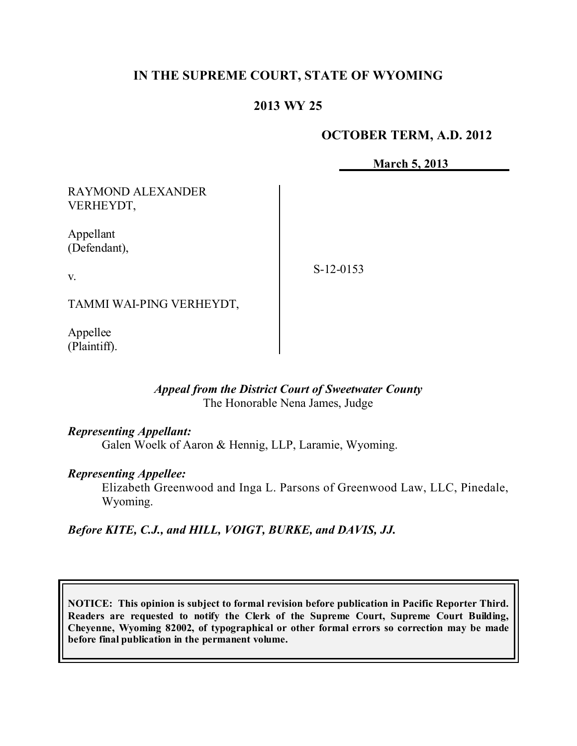# **IN THE SUPREME COURT, STATE OF WYOMING**

# **2013 WY 25**

### **OCTOBER TERM, A.D. 2012**

**March 5, 2013**

RAYMOND ALEXANDER VERHEYDT,

Appellant (Defendant),

v.

S-12-0153

TAMMI WAI-PING VERHEYDT,

Appellee (Plaintiff).

### *Appeal from the District Court of Sweetwater County* The Honorable Nena James, Judge

#### *Representing Appellant:*

Galen Woelk of Aaron & Hennig, LLP, Laramie, Wyoming.

#### *Representing Appellee:*

Elizabeth Greenwood and Inga L. Parsons of Greenwood Law, LLC, Pinedale, Wyoming.

*Before KITE, C.J., and HILL, VOIGT, BURKE, and DAVIS, JJ.*

**NOTICE: This opinion is subject to formal revision before publication in Pacific Reporter Third. Readers are requested to notify the Clerk of the Supreme Court, Supreme Court Building, Cheyenne, Wyoming 82002, of typographical or other formal errors so correction may be made before final publication in the permanent volume.**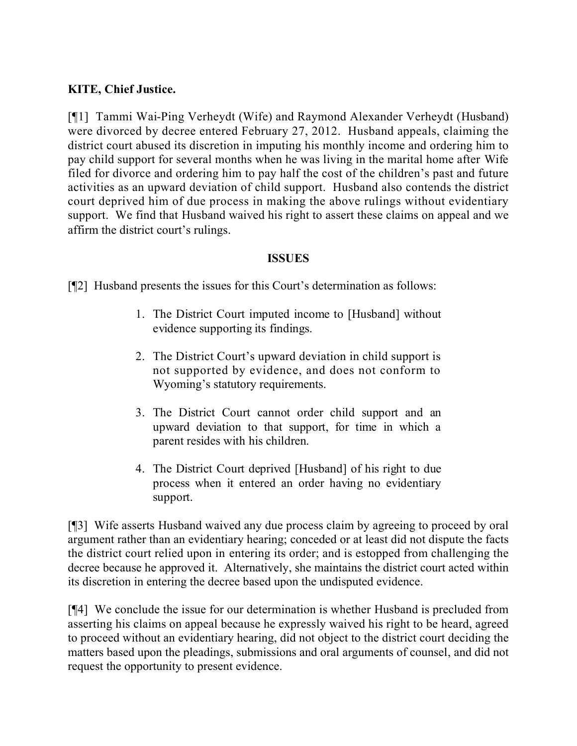# **KITE, Chief Justice.**

[¶1] Tammi Wai-Ping Verheydt (Wife) and Raymond Alexander Verheydt (Husband) were divorced by decree entered February 27, 2012. Husband appeals, claiming the district court abused its discretion in imputing his monthly income and ordering him to pay child support for several months when he was living in the marital home after Wife filed for divorce and ordering him to pay half the cost of the children's past and future activities as an upward deviation of child support. Husband also contends the district court deprived him of due process in making the above rulings without evidentiary support. We find that Husband waived his right to assert these claims on appeal and we affirm the district court's rulings.

### **ISSUES**

[¶2] Husband presents the issues for this Court's determination as follows:

- 1. The District Court imputed income to [Husband] without evidence supporting its findings.
- 2. The District Court's upward deviation in child support is not supported by evidence, and does not conform to Wyoming's statutory requirements.
- 3. The District Court cannot order child support and an upward deviation to that support, for time in which a parent resides with his children.
- 4. The District Court deprived [Husband] of his right to due process when it entered an order having no evidentiary support.

[¶3] Wife asserts Husband waived any due process claim by agreeing to proceed by oral argument rather than an evidentiary hearing; conceded or at least did not dispute the facts the district court relied upon in entering its order; and is estopped from challenging the decree because he approved it. Alternatively, she maintains the district court acted within its discretion in entering the decree based upon the undisputed evidence.

[¶4] We conclude the issue for our determination is whether Husband is precluded from asserting his claims on appeal because he expressly waived his right to be heard, agreed to proceed without an evidentiary hearing, did not object to the district court deciding the matters based upon the pleadings, submissions and oral arguments of counsel, and did not request the opportunity to present evidence.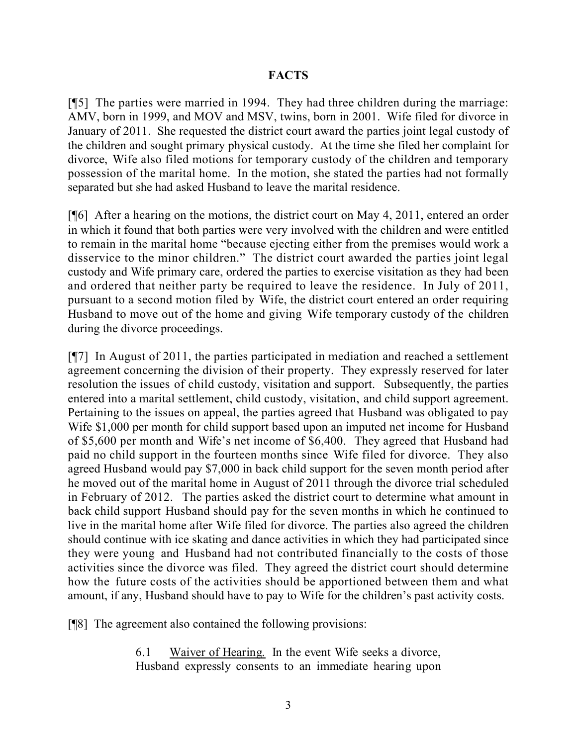### **FACTS**

[¶5] The parties were married in 1994. They had three children during the marriage: AMV, born in 1999, and MOV and MSV, twins, born in 2001. Wife filed for divorce in January of 2011. She requested the district court award the parties joint legal custody of the children and sought primary physical custody. At the time she filed her complaint for divorce, Wife also filed motions for temporary custody of the children and temporary possession of the marital home. In the motion, she stated the parties had not formally separated but she had asked Husband to leave the marital residence.

[¶6] After a hearing on the motions, the district court on May 4, 2011, entered an order in which it found that both parties were very involved with the children and were entitled to remain in the marital home "because ejecting either from the premises would work a disservice to the minor children." The district court awarded the parties joint legal custody and Wife primary care, ordered the parties to exercise visitation as they had been and ordered that neither party be required to leave the residence. In July of 2011, pursuant to a second motion filed by Wife, the district court entered an order requiring Husband to move out of the home and giving Wife temporary custody of the children during the divorce proceedings.

[¶7] In August of 2011, the parties participated in mediation and reached a settlement agreement concerning the division of their property. They expressly reserved for later resolution the issues of child custody, visitation and support. Subsequently, the parties entered into a marital settlement, child custody, visitation, and child support agreement. Pertaining to the issues on appeal, the parties agreed that Husband was obligated to pay Wife \$1,000 per month for child support based upon an imputed net income for Husband of \$5,600 per month and Wife's net income of \$6,400. They agreed that Husband had paid no child support in the fourteen months since Wife filed for divorce. They also agreed Husband would pay \$7,000 in back child support for the seven month period after he moved out of the marital home in August of 2011 through the divorce trial scheduled in February of 2012. The parties asked the district court to determine what amount in back child support Husband should pay for the seven months in which he continued to live in the marital home after Wife filed for divorce. The parties also agreed the children should continue with ice skating and dance activities in which they had participated since they were young and Husband had not contributed financially to the costs of those activities since the divorce was filed. They agreed the district court should determine how the future costs of the activities should be apportioned between them and what amount, if any, Husband should have to pay to Wife for the children's past activity costs.

[¶8] The agreement also contained the following provisions:

6.1 Waiver of Hearing. In the event Wife seeks a divorce, Husband expressly consents to an immediate hearing upon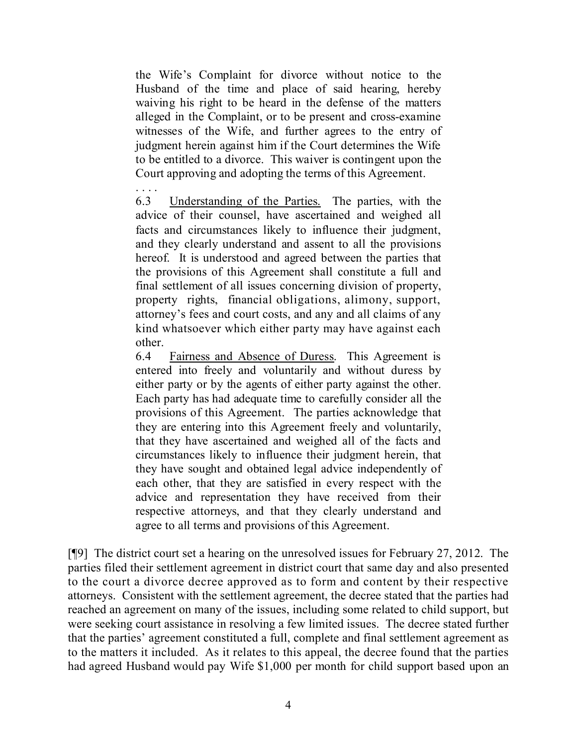the Wife's Complaint for divorce without notice to the Husband of the time and place of said hearing, hereby waiving his right to be heard in the defense of the matters alleged in the Complaint, or to be present and cross-examine witnesses of the Wife, and further agrees to the entry of judgment herein against him if the Court determines the Wife to be entitled to a divorce. This waiver is contingent upon the Court approving and adopting the terms of this Agreement.

. . . .

6.3 Understanding of the Parties. The parties, with the advice of their counsel, have ascertained and weighed all facts and circumstances likely to influence their judgment, and they clearly understand and assent to all the provisions hereof. It is understood and agreed between the parties that the provisions of this Agreement shall constitute a full and final settlement of all issues concerning division of property, property rights, financial obligations, alimony, support, attorney's fees and court costs, and any and all claims of any kind whatsoever which either party may have against each other.

6.4 Fairness and Absence of Duress. This Agreement is entered into freely and voluntarily and without duress by either party or by the agents of either party against the other. Each party has had adequate time to carefully consider all the provisions of this Agreement. The parties acknowledge that they are entering into this Agreement freely and voluntarily, that they have ascertained and weighed all of the facts and circumstances likely to influence their judgment herein, that they have sought and obtained legal advice independently of each other, that they are satisfied in every respect with the advice and representation they have received from their respective attorneys, and that they clearly understand and agree to all terms and provisions of this Agreement.

[¶9] The district court set a hearing on the unresolved issues for February 27, 2012. The parties filed their settlement agreement in district court that same day and also presented to the court a divorce decree approved as to form and content by their respective attorneys. Consistent with the settlement agreement, the decree stated that the parties had reached an agreement on many of the issues, including some related to child support, but were seeking court assistance in resolving a few limited issues. The decree stated further that the parties' agreement constituted a full, complete and final settlement agreement as to the matters it included. As it relates to this appeal, the decree found that the parties had agreed Husband would pay Wife \$1,000 per month for child support based upon an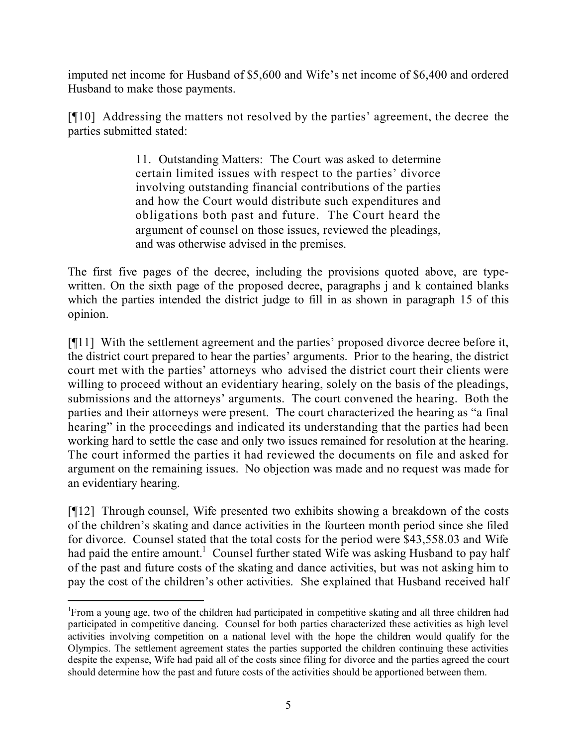imputed net income for Husband of \$5,600 and Wife's net income of \$6,400 and ordered Husband to make those payments.

[¶10] Addressing the matters not resolved by the parties' agreement, the decree the parties submitted stated:

> 11. Outstanding Matters: The Court was asked to determine certain limited issues with respect to the parties' divorce involving outstanding financial contributions of the parties and how the Court would distribute such expenditures and obligations both past and future. The Court heard the argument of counsel on those issues, reviewed the pleadings, and was otherwise advised in the premises.

The first five pages of the decree, including the provisions quoted above, are typewritten. On the sixth page of the proposed decree, paragraphs *i* and *k* contained blanks which the parties intended the district judge to fill in as shown in paragraph 15 of this opinion.

[¶11] With the settlement agreement and the parties' proposed divorce decree before it, the district court prepared to hear the parties' arguments. Prior to the hearing, the district court met with the parties' attorneys who advised the district court their clients were willing to proceed without an evidentiary hearing, solely on the basis of the pleadings, submissions and the attorneys' arguments. The court convened the hearing. Both the parties and their attorneys were present. The court characterized the hearing as "a final hearing" in the proceedings and indicated its understanding that the parties had been working hard to settle the case and only two issues remained for resolution at the hearing. The court informed the parties it had reviewed the documents on file and asked for argument on the remaining issues. No objection was made and no request was made for an evidentiary hearing.

[¶12] Through counsel, Wife presented two exhibits showing a breakdown of the costs of the children's skating and dance activities in the fourteen month period since she filed for divorce. Counsel stated that the total costs for the period were \$43,558.03 and Wife had paid the entire amount.<sup>1</sup> Counsel further stated Wife was asking Husband to pay half of the past and future costs of the skating and dance activities, but was not asking him to pay the cost of the children's other activities. She explained that Husband received half

 <sup>1</sup>From a young age, two of the children had participated in competitive skating and all three children had participated in competitive dancing. Counsel for both parties characterized these activities as high level activities involving competition on a national level with the hope the children would qualify for the Olympics. The settlement agreement states the parties supported the children continuing these activities despite the expense, Wife had paid all of the costs since filing for divorce and the parties agreed the court should determine how the past and future costs of the activities should be apportioned between them.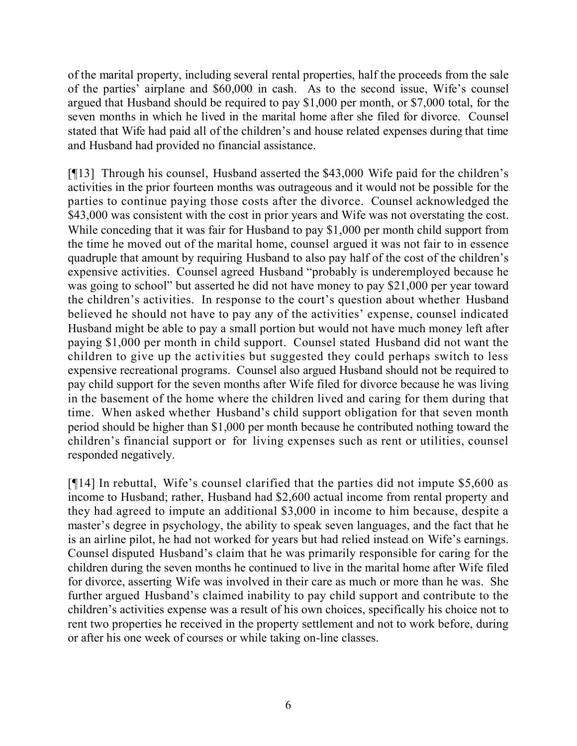of the marital property, including several rental properties, half the proceeds from the sale of the parties' airplane and \$60,000 in cash. As to the second issue, Wife's counsel argued that Husband should be required to pay \$1,000 per month, or \$7,000 total, for the seven months in which he lived in the marital home after she filed for divorce. Counsel stated that Wife had paid all of the children's and house related expenses during that time and Husband had provided no financial assistance.

[¶13] Through his counsel, Husband asserted the \$43,000 Wife paid for the children's activities in the prior fourteen months was outrageous and it would not be possible for the parties to continue paying those costs after the divorce. Counsel acknowledged the \$43,000 was consistent with the cost in prior years and Wife was not overstating the cost. While conceding that it was fair for Husband to pay \$1,000 per month child support from the time he moved out of the marital home, counsel argued it was not fair to in essence quadruple that amount by requiring Husband to also pay half of the cost of the children's expensive activities. Counsel agreed Husband "probably is underemployed because he was going to school" but asserted he did not have money to pay \$21,000 per year toward the children's activities. In response to the court's question about whether Husband believed he should not have to pay any of the activities' expense, counsel indicated Husband might be able to pay a small portion but would not have much money left after paying \$1,000 per month in child support. Counsel stated Husband did not want the children to give up the activities but suggested they could perhaps switch to less expensive recreational programs. Counsel also argued Husband should not be required to pay child support for the seven months after Wife filed for divorce because he was living in the basement of the home where the children lived and caring for them during that time. When asked whether Husband's child support obligation for that seven month period should be higher than \$1,000 per month because he contributed nothing toward the children's financial support or for living expenses such as rent or utilities, counsel responded negatively.

[¶14] In rebuttal, Wife's counsel clarified that the parties did not impute \$5,600 as income to Husband; rather, Husband had \$2,600 actual income from rental property and they had agreed to impute an additional \$3,000 in income to him because, despite a master's degree in psychology, the ability to speak seven languages, and the fact that he is an airline pilot, he had not worked for years but had relied instead on Wife's earnings. Counsel disputed Husband's claim that he was primarily responsible for caring for the children during the seven months he continued to live in the marital home after Wife filed for divorce, asserting Wife was involved in their care as much or more than he was. She further argued Husband's claimed inability to pay child support and contribute to the children's activities expense was a result of his own choices, specifically his choice not to rent two properties he received in the property settlement and not to work before, during or after his one week of courses or while taking on-line classes.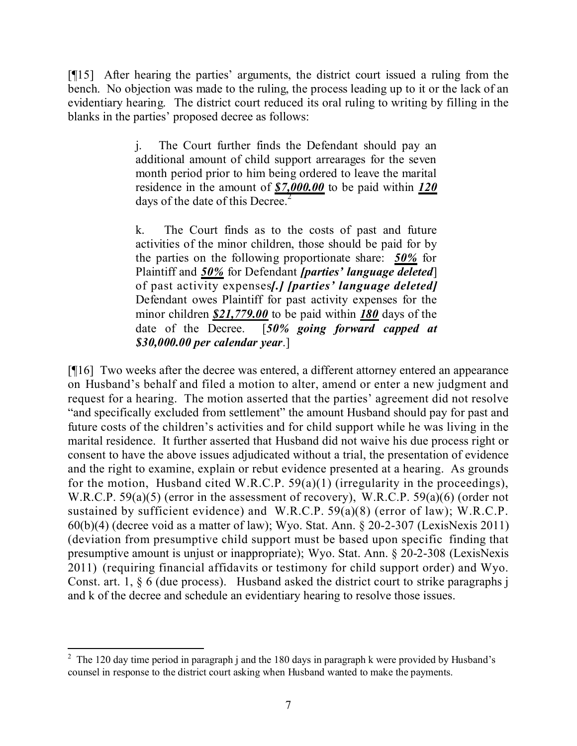[¶15] After hearing the parties' arguments, the district court issued a ruling from the bench. No objection was made to the ruling, the process leading up to it or the lack of an evidentiary hearing. The district court reduced its oral ruling to writing by filling in the blanks in the parties' proposed decree as follows:

> j. The Court further finds the Defendant should pay an additional amount of child support arrearages for the seven month period prior to him being ordered to leave the marital residence in the amount of *\$7,000.00* to be paid within *120* days of the date of this Decree.<sup>2</sup>

> k. The Court finds as to the costs of past and future activities of the minor children, those should be paid for by the parties on the following proportionate share: *50%* for Plaintiff and *50%* for Defendant *[parties' language deleted*] of past activity expenses*[.] [parties' language deleted]* Defendant owes Plaintiff for past activity expenses for the minor children *\$21,779.00* to be paid within *180* days of the date of the Decree. [*50% going forward capped at \$30,000.00 per calendar year*.]

[¶16] Two weeks after the decree was entered, a different attorney entered an appearance on Husband's behalf and filed a motion to alter, amend or enter a new judgment and request for a hearing. The motion asserted that the parties' agreement did not resolve "and specifically excluded from settlement" the amount Husband should pay for past and future costs of the children's activities and for child support while he was living in the marital residence. It further asserted that Husband did not waive his due process right or consent to have the above issues adjudicated without a trial, the presentation of evidence and the right to examine, explain or rebut evidence presented at a hearing. As grounds for the motion, Husband cited W.R.C.P.  $59(a)(1)$  (irregularity in the proceedings), W.R.C.P. 59(a)(5) (error in the assessment of recovery), W.R.C.P. 59(a)(6) (order not sustained by sufficient evidence) and W.R.C.P. 59(a)(8) (error of law); W.R.C.P. 60(b)(4) (decree void as a matter of law); Wyo. Stat. Ann. § 20-2-307 (LexisNexis 2011) (deviation from presumptive child support must be based upon specific finding that presumptive amount is unjust or inappropriate); Wyo. Stat. Ann. § 20-2-308 (LexisNexis 2011) (requiring financial affidavits or testimony for child support order) and Wyo. Const. art. 1, § 6 (due process). Husband asked the district court to strike paragraphs j and k of the decree and schedule an evidentiary hearing to resolve those issues.

<sup>&</sup>lt;sup>2</sup> The 120 day time period in paragraph j and the 180 days in paragraph k were provided by Husband's counsel in response to the district court asking when Husband wanted to make the payments.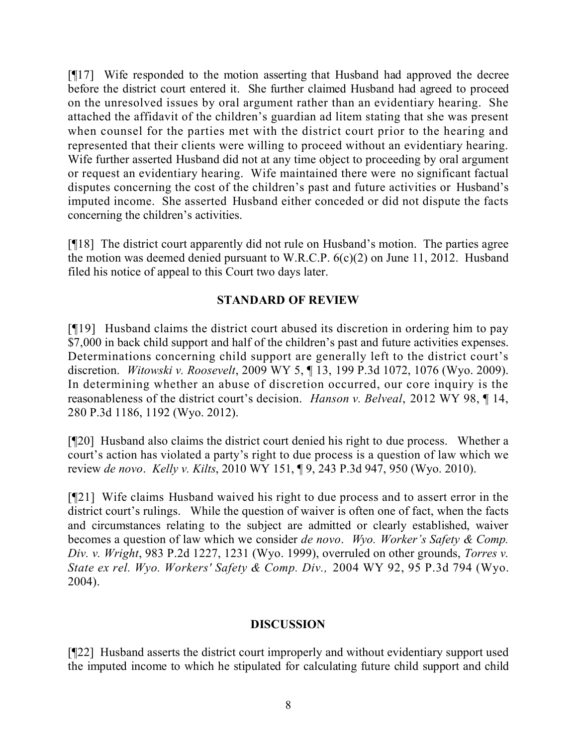[¶17] Wife responded to the motion asserting that Husband had approved the decree before the district court entered it. She further claimed Husband had agreed to proceed on the unresolved issues by oral argument rather than an evidentiary hearing. She attached the affidavit of the children's guardian ad litem stating that she was present when counsel for the parties met with the district court prior to the hearing and represented that their clients were willing to proceed without an evidentiary hearing. Wife further asserted Husband did not at any time object to proceeding by oral argument or request an evidentiary hearing. Wife maintained there were no significant factual disputes concerning the cost of the children's past and future activities or Husband's imputed income. She asserted Husband either conceded or did not dispute the facts concerning the children's activities.

[¶18] The district court apparently did not rule on Husband's motion. The parties agree the motion was deemed denied pursuant to W.R.C.P. 6(c)(2) on June 11, 2012. Husband filed his notice of appeal to this Court two days later.

## **STANDARD OF REVIEW**

[¶19] Husband claims the district court abused its discretion in ordering him to pay \$7,000 in back child support and half of the children's past and future activities expenses. Determinations concerning child support are generally left to the district court's discretion. *Witowski v. Roosevelt*, 2009 WY 5, ¶ 13, 199 P.3d 1072, 1076 (Wyo. 2009). In determining whether an abuse of discretion occurred, our core inquiry is the reasonableness of the district court's decision. *Hanson v. Belveal*, 2012 WY 98, ¶ 14, 280 P.3d 1186, 1192 (Wyo. 2012).

[¶20] Husband also claims the district court denied his right to due process. Whether a court's action has violated a party's right to due process is a question of law which we review *de novo*. *Kelly v. Kilts*, 2010 WY 151, ¶ 9, 243 P.3d 947, 950 (Wyo. 2010).

[¶21] Wife claims Husband waived his right to due process and to assert error in the district court's rulings. While the question of waiver is often one of fact, when the facts and circumstances relating to the subject are admitted or clearly established, waiver becomes a question of law which we consider *de novo*. *Wyo. Worker's Safety & Comp. Div. v. Wright*, 983 P.2d 1227, 1231 (Wyo. 1999), overruled on other grounds, *Torres v. State ex rel. Wyo. Workers' Safety & Comp. Div.,* 2004 WY 92, 95 P.3d 794 (Wyo. 2004).

## **DISCUSSION**

[¶22] Husband asserts the district court improperly and without evidentiary support used the imputed income to which he stipulated for calculating future child support and child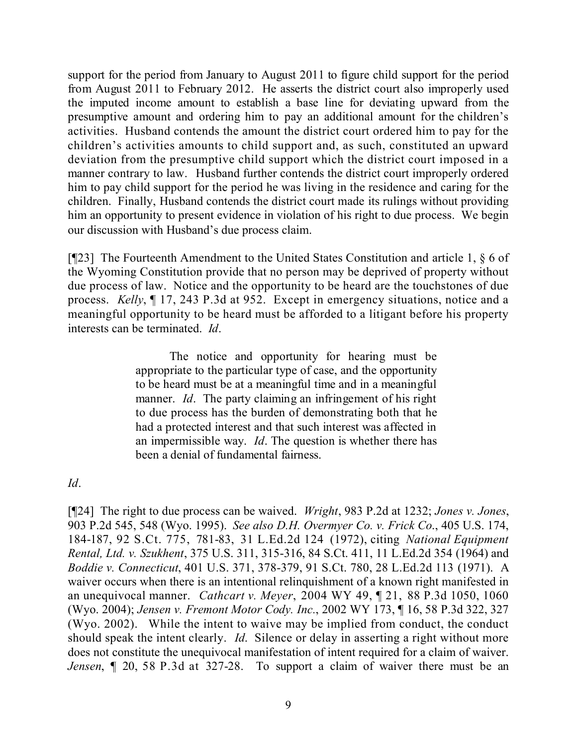support for the period from January to August 2011 to figure child support for the period from August 2011 to February 2012. He asserts the district court also improperly used the imputed income amount to establish a base line for deviating upward from the presumptive amount and ordering him to pay an additional amount for the children's activities. Husband contends the amount the district court ordered him to pay for the children's activities amounts to child support and, as such, constituted an upward deviation from the presumptive child support which the district court imposed in a manner contrary to law. Husband further contends the district court improperly ordered him to pay child support for the period he was living in the residence and caring for the children. Finally, Husband contends the district court made its rulings without providing him an opportunity to present evidence in violation of his right to due process. We begin our discussion with Husband's due process claim.

[¶23] The Fourteenth Amendment to the United States Constitution and article 1, § 6 of the Wyoming Constitution provide that no person may be deprived of property without due process of law. Notice and the opportunity to be heard are the touchstones of due process. *Kelly*, ¶ 17, 243 P.3d at 952. Except in emergency situations, notice and a meaningful opportunity to be heard must be afforded to a litigant before his property interests can be terminated. *Id*.

> The notice and opportunity for hearing must be appropriate to the particular type of case, and the opportunity to be heard must be at a meaningful time and in a meaningful manner. *Id*. The party claiming an infringement of his right to due process has the burden of demonstrating both that he had a protected interest and that such interest was affected in an impermissible way. *Id*. The question is whether there has been a denial of fundamental fairness.

## *Id*.

[¶24] The right to due process can be waived. *Wright*, 983 P.2d at 1232; *Jones v. Jones*, 903 P.2d 545, 548 (Wyo. 1995). *See also D.H. Overmyer Co. v. Frick Co*., 405 U.S. 174, 184-187, 92 S.Ct. 775, 781-83, 31 L.Ed.2d 124 (1972), citing *National Equipment Rental, Ltd. v. Szukhent*, 375 U.S. 311, 315-316, 84 S.Ct. 411, 11 L.Ed.2d 354 (1964) and *Boddie v. Connecticut*, 401 U.S. 371, 378-379, 91 S.Ct. 780, 28 L.Ed.2d 113 (1971). A waiver occurs when there is an intentional relinquishment of a known right manifested in an unequivocal manner. *Cathcart v. Meyer*, 2004 WY 49, ¶ 21, 88 P.3d 1050, 1060 (Wyo. 2004); *Jensen v. Fremont Motor Cody. Inc.*, 2002 WY 173, ¶ 16, 58 P.3d 322, 327 (Wyo. 2002). While the intent to waive may be implied from conduct, the conduct should speak the intent clearly. *Id*. Silence or delay in asserting a right without more does not constitute the unequivocal manifestation of intent required for a claim of waiver. *Jensen*, ¶ 20, 58 P.3d at 327-28. To support a claim of waiver there must be an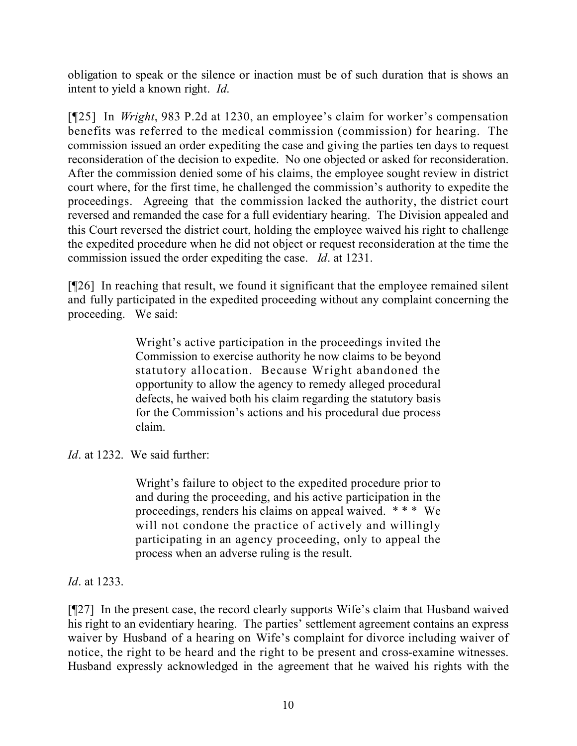obligation to speak or the silence or inaction must be of such duration that is shows an intent to yield a known right. *Id*.

[¶25] In *Wright*, 983 P.2d at 1230, an employee's claim for worker's compensation benefits was referred to the medical commission (commission) for hearing. The commission issued an order expediting the case and giving the parties ten days to request reconsideration of the decision to expedite. No one objected or asked for reconsideration. After the commission denied some of his claims, the employee sought review in district court where, for the first time, he challenged the commission's authority to expedite the proceedings. Agreeing that the commission lacked the authority, the district court reversed and remanded the case for a full evidentiary hearing. The Division appealed and this Court reversed the district court, holding the employee waived his right to challenge the expedited procedure when he did not object or request reconsideration at the time the commission issued the order expediting the case. *Id*. at 1231.

[¶26] In reaching that result, we found it significant that the employee remained silent and fully participated in the expedited proceeding without any complaint concerning the proceeding. We said:

> Wright's active participation in the proceedings invited the Commission to exercise authority he now claims to be beyond statutory allocation. Because Wright abandoned the opportunity to allow the agency to remedy alleged procedural defects, he waived both his claim regarding the statutory basis for the Commission's actions and his procedural due process claim.

*Id*. at 1232. We said further:

Wright's failure to object to the expedited procedure prior to and during the proceeding, and his active participation in the proceedings, renders his claims on appeal waived. \* \* \* We will not condone the practice of actively and willingly participating in an agency proceeding, only to appeal the process when an adverse ruling is the result.

*Id*. at 1233.

[¶27] In the present case, the record clearly supports Wife's claim that Husband waived his right to an evidentiary hearing. The parties' settlement agreement contains an express waiver by Husband of a hearing on Wife's complaint for divorce including waiver of notice, the right to be heard and the right to be present and cross-examine witnesses. Husband expressly acknowledged in the agreement that he waived his rights with the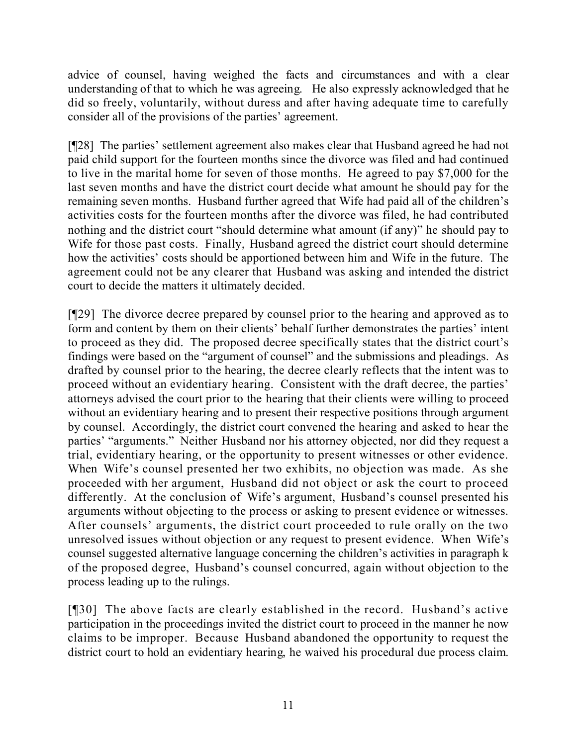advice of counsel, having weighed the facts and circumstances and with a clear understanding of that to which he was agreeing. He also expressly acknowledged that he did so freely, voluntarily, without duress and after having adequate time to carefully consider all of the provisions of the parties' agreement.

[¶28] The parties' settlement agreement also makes clear that Husband agreed he had not paid child support for the fourteen months since the divorce was filed and had continued to live in the marital home for seven of those months. He agreed to pay \$7,000 for the last seven months and have the district court decide what amount he should pay for the remaining seven months. Husband further agreed that Wife had paid all of the children's activities costs for the fourteen months after the divorce was filed, he had contributed nothing and the district court "should determine what amount (if any)" he should pay to Wife for those past costs. Finally, Husband agreed the district court should determine how the activities' costs should be apportioned between him and Wife in the future. The agreement could not be any clearer that Husband was asking and intended the district court to decide the matters it ultimately decided.

[¶29] The divorce decree prepared by counsel prior to the hearing and approved as to form and content by them on their clients' behalf further demonstrates the parties' intent to proceed as they did. The proposed decree specifically states that the district court's findings were based on the "argument of counsel" and the submissions and pleadings. As drafted by counsel prior to the hearing, the decree clearly reflects that the intent was to proceed without an evidentiary hearing. Consistent with the draft decree, the parties' attorneys advised the court prior to the hearing that their clients were willing to proceed without an evidentiary hearing and to present their respective positions through argument by counsel. Accordingly, the district court convened the hearing and asked to hear the parties' "arguments." Neither Husband nor his attorney objected, nor did they request a trial, evidentiary hearing, or the opportunity to present witnesses or other evidence. When Wife's counsel presented her two exhibits, no objection was made. As she proceeded with her argument, Husband did not object or ask the court to proceed differently. At the conclusion of Wife's argument, Husband's counsel presented his arguments without objecting to the process or asking to present evidence or witnesses. After counsels' arguments, the district court proceeded to rule orally on the two unresolved issues without objection or any request to present evidence. When Wife's counsel suggested alternative language concerning the children's activities in paragraph k of the proposed degree, Husband's counsel concurred, again without objection to the process leading up to the rulings.

[¶30] The above facts are clearly established in the record. Husband's active participation in the proceedings invited the district court to proceed in the manner he now claims to be improper. Because Husband abandoned the opportunity to request the district court to hold an evidentiary hearing, he waived his procedural due process claim.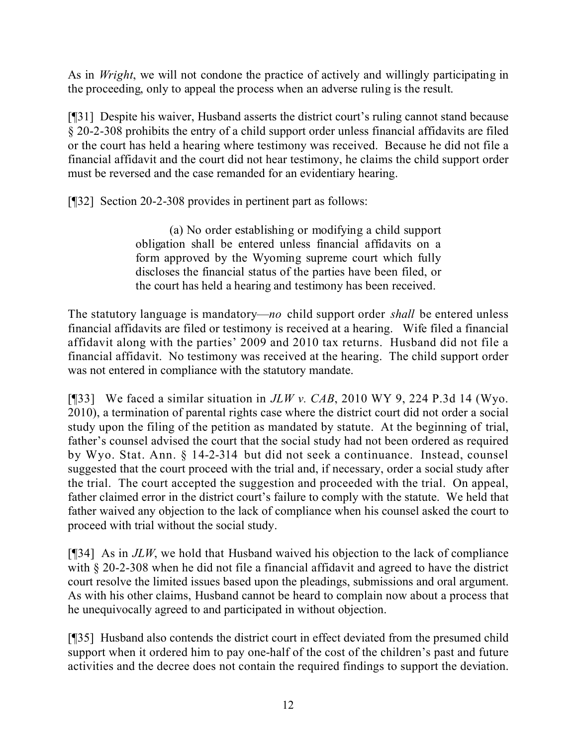As in *Wright*, we will not condone the practice of actively and willingly participating in the proceeding, only to appeal the process when an adverse ruling is the result.

[¶31] Despite his waiver, Husband asserts the district court's ruling cannot stand because § 20-2-308 prohibits the entry of a child support order unless financial affidavits are filed or the court has held a hearing where testimony was received. Because he did not file a financial affidavit and the court did not hear testimony, he claims the child support order must be reversed and the case remanded for an evidentiary hearing.

[¶32] Section 20-2-308 provides in pertinent part as follows:

(a) No order establishing or modifying a child support obligation shall be entered unless financial affidavits on a form approved by the Wyoming supreme court which fully discloses the financial status of the parties have been filed, or the court has held a hearing and testimony has been received.

The statutory language is mandatory—*no* child support order *shall* be entered unless financial affidavits are filed or testimony is received at a hearing. Wife filed a financial affidavit along with the parties' 2009 and 2010 tax returns. Husband did not file a financial affidavit. No testimony was received at the hearing. The child support order was not entered in compliance with the statutory mandate.

[¶33] We faced a similar situation in *JLW v. CAB*, 2010 WY 9, 224 P.3d 14 (Wyo. 2010), a termination of parental rights case where the district court did not order a social study upon the filing of the petition as mandated by statute. At the beginning of trial, father's counsel advised the court that the social study had not been ordered as required by Wyo. Stat. Ann. § 14-2-314 but did not seek a continuance. Instead, counsel suggested that the court proceed with the trial and, if necessary, order a social study after the trial. The court accepted the suggestion and proceeded with the trial. On appeal, father claimed error in the district court's failure to comply with the statute. We held that father waived any objection to the lack of compliance when his counsel asked the court to proceed with trial without the social study.

[¶34] As in *JLW*, we hold that Husband waived his objection to the lack of compliance with § 20-2-308 when he did not file a financial affidavit and agreed to have the district court resolve the limited issues based upon the pleadings, submissions and oral argument. As with his other claims, Husband cannot be heard to complain now about a process that he unequivocally agreed to and participated in without objection.

[¶35] Husband also contends the district court in effect deviated from the presumed child support when it ordered him to pay one-half of the cost of the children's past and future activities and the decree does not contain the required findings to support the deviation.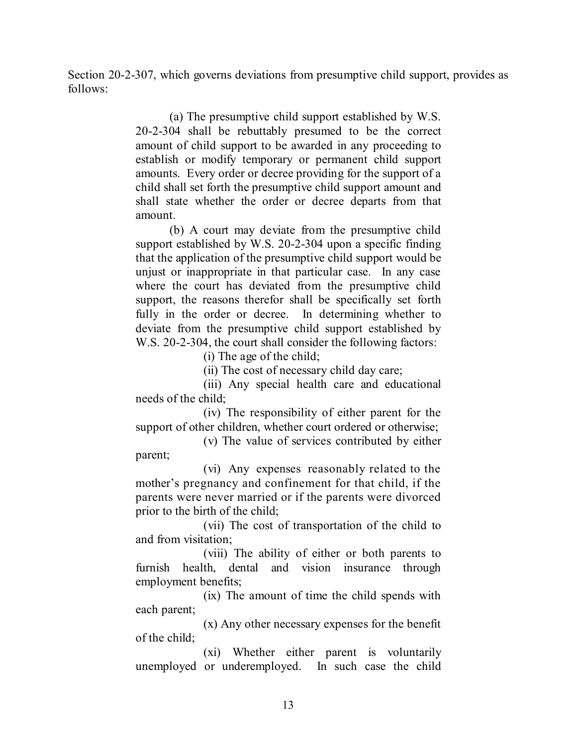Section 20-2-307, which governs deviations from presumptive child support, provides as follows:

> (a) The presumptive child support established by W.S. 20-2-304 shall be rebuttably presumed to be the correct amount of child support to be awarded in any proceeding to establish or modify temporary or permanent child support amounts. Every order or decree providing for the support of a child shall set forth the presumptive child support amount and shall state whether the order or decree departs from that amount.

> (b) A court may deviate from the presumptive child support established by W.S. 20-2-304 upon a specific finding that the application of the presumptive child support would be unjust or inappropriate in that particular case. In any case where the court has deviated from the presumptive child support, the reasons therefor shall be specifically set forth fully in the order or decree. In determining whether to deviate from the presumptive child support established by W.S. 20-2-304, the court shall consider the following factors:

(i) The age of the child;

(ii) The cost of necessary child day care;

(iii) Any special health care and educational needs of the child;

(iv) The responsibility of either parent for the support of other children, whether court ordered or otherwise;

(v) The value of services contributed by either parent;

(vi) Any expenses reasonably related to the mother's pregnancy and confinement for that child, if the parents were never married or if the parents were divorced prior to the birth of the child;

(vii) The cost of transportation of the child to and from visitation;

(viii) The ability of either or both parents to furnish health, dental and vision insurance through employment benefits;

(ix) The amount of time the child spends with each parent;

(x) Any other necessary expenses for the benefit of the child;

(xi) Whether either parent is voluntarily unemployed or underemployed. In such case the child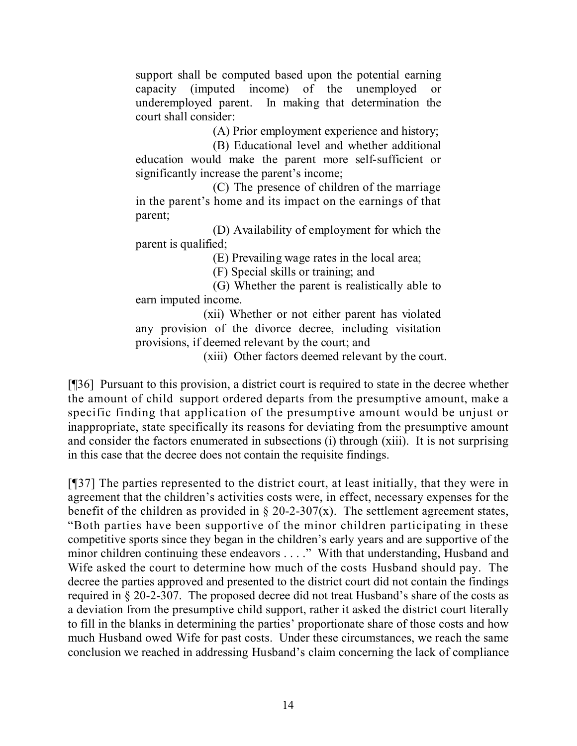support shall be computed based upon the potential earning capacity (imputed income) of the unemployed or underemployed parent. In making that determination the court shall consider:

(A) Prior employment experience and history;

(B) Educational level and whether additional education would make the parent more self-sufficient or significantly increase the parent's income;

(C) The presence of children of the marriage in the parent's home and its impact on the earnings of that parent;

(D) Availability of employment for which the parent is qualified;

(E) Prevailing wage rates in the local area;

(F) Special skills or training; and

(G) Whether the parent is realistically able to earn imputed income.

(xii) Whether or not either parent has violated any provision of the divorce decree, including visitation provisions, if deemed relevant by the court; and

(xiii) Other factors deemed relevant by the court.

[¶36] Pursuant to this provision, a district court is required to state in the decree whether the amount of child support ordered departs from the presumptive amount, make a specific finding that application of the presumptive amount would be unjust or inappropriate, state specifically its reasons for deviating from the presumptive amount and consider the factors enumerated in subsections (i) through (xiii). It is not surprising in this case that the decree does not contain the requisite findings.

[¶37] The parties represented to the district court, at least initially, that they were in agreement that the children's activities costs were, in effect, necessary expenses for the benefit of the children as provided in  $\S 20-2-307(x)$ . The settlement agreement states, "Both parties have been supportive of the minor children participating in these competitive sports since they began in the children's early years and are supportive of the minor children continuing these endeavors . . . ." With that understanding, Husband and Wife asked the court to determine how much of the costs Husband should pay. The decree the parties approved and presented to the district court did not contain the findings required in § 20-2-307. The proposed decree did not treat Husband's share of the costs as a deviation from the presumptive child support, rather it asked the district court literally to fill in the blanks in determining the parties' proportionate share of those costs and how much Husband owed Wife for past costs. Under these circumstances, we reach the same conclusion we reached in addressing Husband's claim concerning the lack of compliance